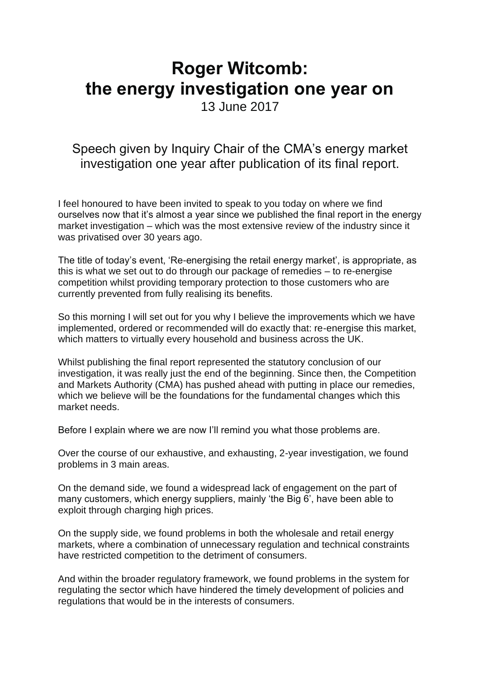## **Roger Witcomb: the energy investigation one year on**

13 June 2017

## Speech given by Inquiry Chair of the CMA's energy market investigation one year after publication of its final report.

I feel honoured to have been invited to speak to you today on where we find ourselves now that it's almost a year since we published the final report in the energy market investigation – which was the most extensive review of the industry since it was privatised over 30 years ago.

The title of today's event, 'Re-energising the retail energy market', is appropriate, as this is what we set out to do through our package of remedies – to re-energise competition whilst providing temporary protection to those customers who are currently prevented from fully realising its benefits.

So this morning I will set out for you why I believe the improvements which we have implemented, ordered or recommended will do exactly that: re-energise this market, which matters to virtually every household and business across the UK.

Whilst publishing the final report represented the statutory conclusion of our investigation, it was really just the end of the beginning. Since then, the Competition and Markets Authority (CMA) has pushed ahead with putting in place our remedies, which we believe will be the foundations for the fundamental changes which this market needs.

Before I explain where we are now I'll remind you what those problems are.

Over the course of our exhaustive, and exhausting, 2-year investigation, we found problems in 3 main areas.

On the demand side, we found a widespread lack of engagement on the part of many customers, which energy suppliers, mainly 'the Big 6', have been able to exploit through charging high prices.

On the supply side, we found problems in both the wholesale and retail energy markets, where a combination of unnecessary regulation and technical constraints have restricted competition to the detriment of consumers.

And within the broader regulatory framework, we found problems in the system for regulating the sector which have hindered the timely development of policies and regulations that would be in the interests of consumers.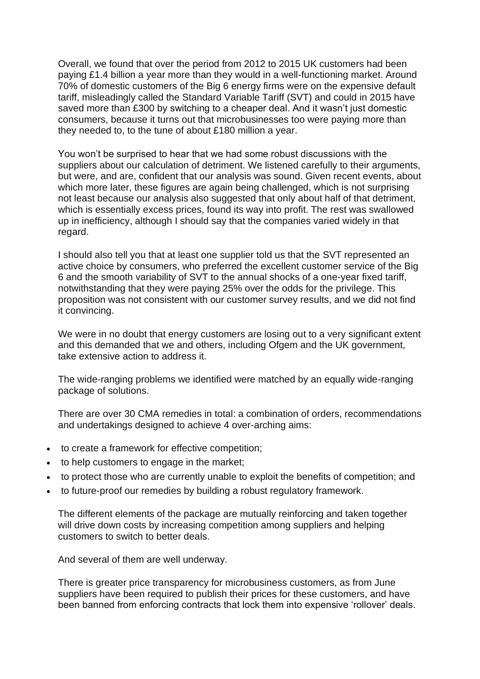Overall, we found that over the period from 2012 to 2015 UK customers had been paying £1.4 billion a year more than they would in a well-functioning market. Around 70% of domestic customers of the Big 6 energy firms were on the expensive default tariff, misleadingly called the Standard Variable Tariff (SVT) and could in 2015 have saved more than £300 by switching to a cheaper deal. And it wasn't just domestic consumers, because it turns out that microbusinesses too were paying more than they needed to, to the tune of about £180 million a year.

You won't be surprised to hear that we had some robust discussions with the suppliers about our calculation of detriment. We listened carefully to their arguments, but were, and are, confident that our analysis was sound. Given recent events, about which more later, these figures are again being challenged, which is not surprising not least because our analysis also suggested that only about half of that detriment, which is essentially excess prices, found its way into profit. The rest was swallowed up in inefficiency, although I should say that the companies varied widely in that regard.

I should also tell you that at least one supplier told us that the SVT represented an active choice by consumers, who preferred the excellent customer service of the Big 6 and the smooth variability of SVT to the annual shocks of a one-year fixed tariff, notwithstanding that they were paying 25% over the odds for the privilege. This proposition was not consistent with our customer survey results, and we did not find it convincing.

We were in no doubt that energy customers are losing out to a very significant extent and this demanded that we and others, including Ofgem and the UK government, take extensive action to address it.

The wide-ranging problems we identified were matched by an equally wide-ranging package of solutions.

There are over 30 CMA remedies in total: a combination of orders, recommendations and undertakings designed to achieve 4 over-arching aims:

- to create a framework for effective competition;
- to help customers to engage in the market;
- to protect those who are currently unable to exploit the benefits of competition; and
- to future-proof our remedies by building a robust regulatory framework.

The different elements of the package are mutually reinforcing and taken together will drive down costs by increasing competition among suppliers and helping customers to switch to better deals.

And several of them are well underway.

There is greater price transparency for microbusiness customers, as from June suppliers have been required to publish their prices for these customers, and have been banned from enforcing contracts that lock them into expensive 'rollover' deals.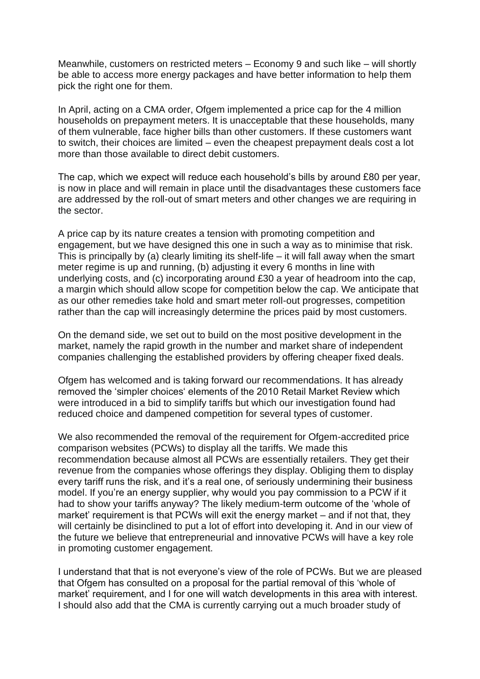Meanwhile, customers on restricted meters – Economy 9 and such like – will shortly be able to access more energy packages and have better information to help them pick the right one for them.

In April, acting on a CMA order, Ofgem implemented a price cap for the 4 million households on prepayment meters. It is unacceptable that these households, many of them vulnerable, face higher bills than other customers. If these customers want to switch, their choices are limited – even the cheapest prepayment deals cost a lot more than those available to direct debit customers.

The cap, which we expect will reduce each household's bills by around £80 per year, is now in place and will remain in place until the disadvantages these customers face are addressed by the roll-out of smart meters and other changes we are requiring in the sector.

A price cap by its nature creates a tension with promoting competition and engagement, but we have designed this one in such a way as to minimise that risk. This is principally by (a) clearly limiting its shelf-life  $-$  it will fall away when the smart meter regime is up and running, (b) adjusting it every 6 months in line with underlying costs, and (c) incorporating around £30 a year of headroom into the cap, a margin which should allow scope for competition below the cap. We anticipate that as our other remedies take hold and smart meter roll-out progresses, competition rather than the cap will increasingly determine the prices paid by most customers.

On the demand side, we set out to build on the most positive development in the market, namely the rapid growth in the number and market share of independent companies challenging the established providers by offering cheaper fixed deals.

Ofgem has welcomed and is taking forward our recommendations. It has already removed the 'simpler choices' elements of the 2010 Retail Market Review which were introduced in a bid to simplify tariffs but which our investigation found had reduced choice and dampened competition for several types of customer.

We also recommended the removal of the requirement for Ofgem-accredited price comparison websites (PCWs) to display all the tariffs. We made this recommendation because almost all PCWs are essentially retailers. They get their revenue from the companies whose offerings they display. Obliging them to display every tariff runs the risk, and it's a real one, of seriously undermining their business model. If you're an energy supplier, why would you pay commission to a PCW if it had to show your tariffs anyway? The likely medium-term outcome of the 'whole of market' requirement is that PCWs will exit the energy market – and if not that, they will certainly be disinclined to put a lot of effort into developing it. And in our view of the future we believe that entrepreneurial and innovative PCWs will have a key role in promoting customer engagement.

I understand that that is not everyone's view of the role of PCWs. But we are pleased that Ofgem has consulted on a proposal for the partial removal of this 'whole of market' requirement, and I for one will watch developments in this area with interest. I should also add that the CMA is currently carrying out a much broader study of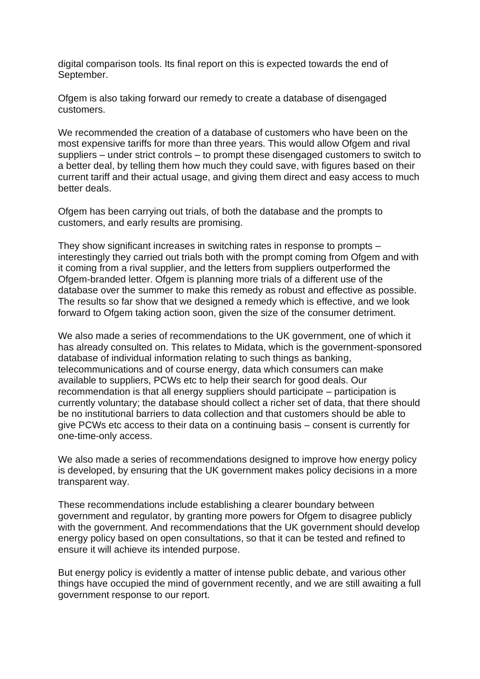digital comparison tools. Its final report on this is expected towards the end of September.

Ofgem is also taking forward our remedy to create a database of disengaged customers.

We recommended the creation of a database of customers who have been on the most expensive tariffs for more than three years. This would allow Ofgem and rival suppliers – under strict controls – to prompt these disengaged customers to switch to a better deal, by telling them how much they could save, with figures based on their current tariff and their actual usage, and giving them direct and easy access to much better deals.

Ofgem has been carrying out trials, of both the database and the prompts to customers, and early results are promising.

They show significant increases in switching rates in response to prompts – interestingly they carried out trials both with the prompt coming from Ofgem and with it coming from a rival supplier, and the letters from suppliers outperformed the Ofgem-branded letter. Ofgem is planning more trials of a different use of the database over the summer to make this remedy as robust and effective as possible. The results so far show that we designed a remedy which is effective, and we look forward to Ofgem taking action soon, given the size of the consumer detriment.

We also made a series of recommendations to the UK government, one of which it has already consulted on. This relates to Midata, which is the government-sponsored database of individual information relating to such things as banking, telecommunications and of course energy, data which consumers can make available to suppliers, PCWs etc to help their search for good deals. Our recommendation is that all energy suppliers should participate – participation is currently voluntary; the database should collect a richer set of data, that there should be no institutional barriers to data collection and that customers should be able to give PCWs etc access to their data on a continuing basis – consent is currently for one-time-only access.

We also made a series of recommendations designed to improve how energy policy is developed, by ensuring that the UK government makes policy decisions in a more transparent way.

These recommendations include establishing a clearer boundary between government and regulator, by granting more powers for Ofgem to disagree publicly with the government. And recommendations that the UK government should develop energy policy based on open consultations, so that it can be tested and refined to ensure it will achieve its intended purpose.

But energy policy is evidently a matter of intense public debate, and various other things have occupied the mind of government recently, and we are still awaiting a full government response to our report.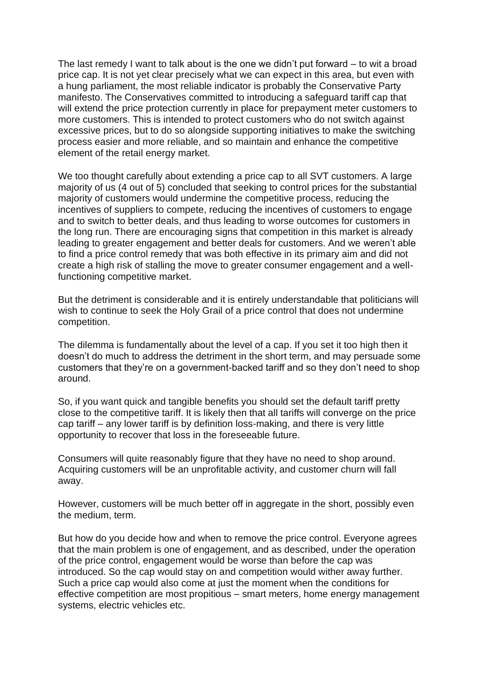The last remedy I want to talk about is the one we didn't put forward – to wit a broad price cap. It is not yet clear precisely what we can expect in this area, but even with a hung parliament, the most reliable indicator is probably the Conservative Party manifesto. The Conservatives committed to introducing a safeguard tariff cap that will extend the price protection currently in place for prepayment meter customers to more customers. This is intended to protect customers who do not switch against excessive prices, but to do so alongside supporting initiatives to make the switching process easier and more reliable, and so maintain and enhance the competitive element of the retail energy market.

We too thought carefully about extending a price cap to all SVT customers. A large majority of us (4 out of 5) concluded that seeking to control prices for the substantial majority of customers would undermine the competitive process, reducing the incentives of suppliers to compete, reducing the incentives of customers to engage and to switch to better deals, and thus leading to worse outcomes for customers in the long run. There are encouraging signs that competition in this market is already leading to greater engagement and better deals for customers. And we weren't able to find a price control remedy that was both effective in its primary aim and did not create a high risk of stalling the move to greater consumer engagement and a wellfunctioning competitive market.

But the detriment is considerable and it is entirely understandable that politicians will wish to continue to seek the Holy Grail of a price control that does not undermine competition.

The dilemma is fundamentally about the level of a cap. If you set it too high then it doesn't do much to address the detriment in the short term, and may persuade some customers that they're on a government-backed tariff and so they don't need to shop around.

So, if you want quick and tangible benefits you should set the default tariff pretty close to the competitive tariff. It is likely then that all tariffs will converge on the price cap tariff – any lower tariff is by definition loss-making, and there is very little opportunity to recover that loss in the foreseeable future.

Consumers will quite reasonably figure that they have no need to shop around. Acquiring customers will be an unprofitable activity, and customer churn will fall away.

However, customers will be much better off in aggregate in the short, possibly even the medium, term.

But how do you decide how and when to remove the price control. Everyone agrees that the main problem is one of engagement, and as described, under the operation of the price control, engagement would be worse than before the cap was introduced. So the cap would stay on and competition would wither away further. Such a price cap would also come at just the moment when the conditions for effective competition are most propitious – smart meters, home energy management systems, electric vehicles etc.